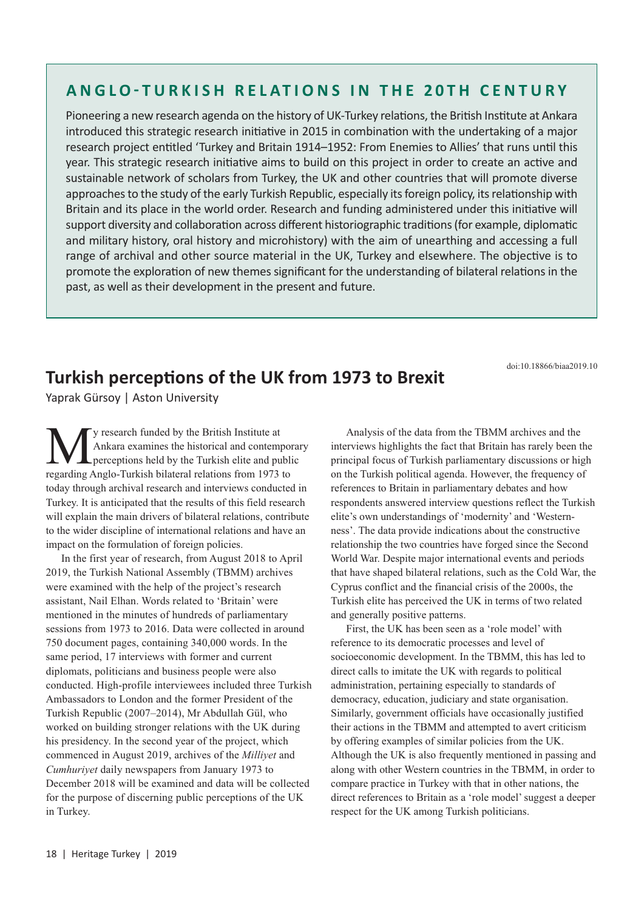## **ANGLO-TURKISH RELATIONS IN THE 20TH CENTURY**

Pioneering a new research agenda on the history of UK-Turkey relations, the British Institute at Ankara introduced this strategic research initiative in 2015 in combination with the undertaking of a major research project entitled 'Turkey and Britain 1914–1952: From Enemies to Allies' that runs until this year. This strategic research initiative aims to build on this project in order to create an active and sustainable network of scholars from Turkey, the UK and other countries that will promote diverse approaches to the study of the early Turkish Republic, especially its foreign policy, its relationship with Britain and its place in the world order. Research and funding administered under this initiative will support diversity and collaboration across different historiographic traditions (for example, diplomatic and military history, oral history and microhistory) with the aim of unearthing and accessing a full range of archival and other source material in the UK, Turkey and elsewhere. The objective is to promote the exploration of new themes significant for the understanding of bilateral relations in the past, as well as their development in the present and future.

doi:10.18866/biaa2019.10

## **Turkish perceptions of the UK from 1973 to Brexit**

Yaprak Gürsoy | Aston University

**M** y research funded by the British Institute at<br>Ankara examines the historical and contem<br>regarding Anglo-Turkish bilateral relations from 1973 Ankara examines the historical and contemporary perceptions held by the Turkish elite and public regarding Anglo-Turkish bilateral relations from 1973 to today through archival research and interviews conducted in Turkey. It is anticipated that the results of this field research will explain the main drivers of bilateral relations, contribute to the wider discipline of international relations and have an impact on the formulation of foreign policies.

In the first year of research, from August 2018 to April 2019, the Turkish National Assembly (TBMM) archives were examined with the help of the project's research assistant, Nail Elhan. Words related to 'Britain' were mentioned in the minutes of hundreds of parliamentary sessions from 1973 to 2016. Data were collected in around 750 document pages, containing 340,000 words. In the same period, 17 interviews with former and current diplomats, politicians and business people were also conducted. High-profile interviewees included three Turkish Ambassadors to London and the former President of the Turkish Republic (2007–2014), Mr Abdullah Gül, who worked on building stronger relations with the UK during his presidency. In the second year of the project, which commenced in August 2019, archives of the *Milliyet* and *Cumhuriyet* daily newspapers from January 1973 to December 2018 will be examined and data will be collected for the purpose of discerning public perceptions of the UK in Turkey.

Analysis of the data from the TBMM archives and the interviews highlights the fact that Britain has rarely been the principal focus of Turkish parliamentary discussions or high on the Turkish political agenda. However, the frequency of references to Britain in parliamentary debates and how respondents answered interview questions reflect the Turkish elite's own understandings of 'modernity' and 'Westernness'. The data provide indications about the constructive relationship the two countries have forged since the Second World War. Despite major international events and periods that have shaped bilateral relations, such as the Cold War, the Cyprus conflict and the financial crisis of the 2000s, the Turkish elite has perceived the UK in terms of two related and generally positive patterns.

First, the UK has been seen as a 'role model' with reference to its democratic processes and level of socioeconomic development. In the TBMM, this has led to direct calls to imitate the UK with regards to political administration, pertaining especially to standards of democracy, education, judiciary and state organisation. Similarly, government officials have occasionally justified their actions in the TBMM and attempted to avert criticism by offering examples of similar policies from the UK. Although the UK is also frequently mentioned in passing and along with other Western countries in the TBMM, in order to compare practice in Turkey with that in other nations, the direct references to Britain as a 'role model' suggest a deeper respect for the UK among Turkish politicians.